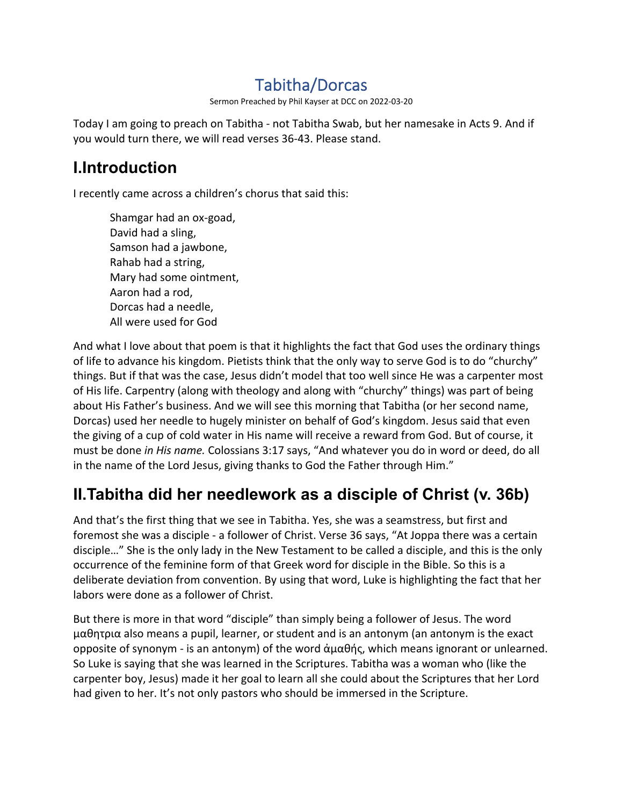# Tabitha/Dorcas

Sermon Preached by Phil Kayser at DCC on 2022-03-20

Today I am going to preach on Tabitha - not Tabitha Swab, but her namesake in Acts 9. And if you would turn there, we will read verses 36-43. Please stand.

# **I.Introduction**

I recently came across a children's chorus that said this:

Shamgar had an ox-goad, David had a sling, Samson had a jawbone, Rahab had a string, Mary had some ointment, Aaron had a rod, Dorcas had a needle, All were used for God

And what I love about that poem is that it highlights the fact that God uses the ordinary things of life to advance his kingdom. Pietists think that the only way to serve God is to do "churchy" things. But if that was the case, Jesus didn't model that too well since He was a carpenter most of His life. Carpentry (along with theology and along with "churchy" things) was part of being about His Father's business. And we will see this morning that Tabitha (or her second name, Dorcas) used her needle to hugely minister on behalf of God's kingdom. Jesus said that even the giving of a cup of cold water in His name will receive a reward from God. But of course, it must be done *in His name.* Colossians 3:17 says, "And whatever you do in word or deed, do all in the name of the Lord Jesus, giving thanks to God the Father through Him."

# **II.Tabitha did her needlework as a disciple of Christ (v. 36b)**

And that's the first thing that we see in Tabitha. Yes, she was a seamstress, but first and foremost she was a disciple - a follower of Christ. Verse 36 says, "At Joppa there was a certain disciple…" She is the only lady in the New Testament to be called a disciple, and this is the only occurrence of the feminine form of that Greek word for disciple in the Bible. So this is a deliberate deviation from convention. By using that word, Luke is highlighting the fact that her labors were done as a follower of Christ.

But there is more in that word "disciple" than simply being a follower of Jesus. The word μαθητρια also means a pupil, learner, or student and is an antonym (an antonym is the exact opposite of synonym - is an antonym) of the word ἀμαθής, which means ignorant or unlearned. So Luke is saying that she was learned in the Scriptures. Tabitha was a woman who (like the carpenter boy, Jesus) made it her goal to learn all she could about the Scriptures that her Lord had given to her. It's not only pastors who should be immersed in the Scripture.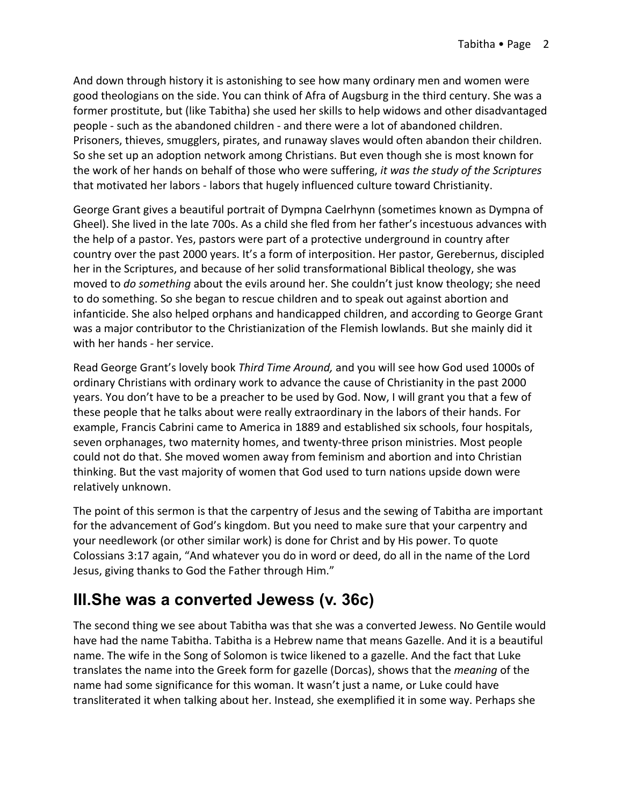And down through history it is astonishing to see how many ordinary men and women were good theologians on the side. You can think of Afra of Augsburg in the third century. She was a former prostitute, but (like Tabitha) she used her skills to help widows and other disadvantaged people - such as the abandoned children - and there were a lot of abandoned children. Prisoners, thieves, smugglers, pirates, and runaway slaves would often abandon their children. So she set up an adoption network among Christians. But even though she is most known for the work of her hands on behalf of those who were suffering, *it was the study of the Scriptures* that motivated her labors - labors that hugely influenced culture toward Christianity.

George Grant gives a beautiful portrait of Dympna Caelrhynn (sometimes known as Dympna of Gheel). She lived in the late 700s. As a child she fled from her father's incestuous advances with the help of a pastor. Yes, pastors were part of a protective underground in country after country over the past 2000 years. It's a form of interposition. Her pastor, Gerebernus, discipled her in the Scriptures, and because of her solid transformational Biblical theology, she was moved to *do something* about the evils around her. She couldn't just know theology; she need to do something. So she began to rescue children and to speak out against abortion and infanticide. She also helped orphans and handicapped children, and according to George Grant was a major contributor to the Christianization of the Flemish lowlands. But she mainly did it with her hands - her service.

Read George Grant's lovely book *Third Time Around,* and you will see how God used 1000s of ordinary Christians with ordinary work to advance the cause of Christianity in the past 2000 years. You don't have to be a preacher to be used by God. Now, I will grant you that a few of these people that he talks about were really extraordinary in the labors of their hands. For example, Francis Cabrini came to America in 1889 and established six schools, four hospitals, seven orphanages, two maternity homes, and twenty-three prison ministries. Most people could not do that. She moved women away from feminism and abortion and into Christian thinking. But the vast majority of women that God used to turn nations upside down were relatively unknown.

The point of this sermon is that the carpentry of Jesus and the sewing of Tabitha are important for the advancement of God's kingdom. But you need to make sure that your carpentry and your needlework (or other similar work) is done for Christ and by His power. To quote Colossians 3:17 again, "And whatever you do in word or deed, do all in the name of the Lord Jesus, giving thanks to God the Father through Him."

### **III.She was a converted Jewess (v. 36c)**

The second thing we see about Tabitha was that she was a converted Jewess. No Gentile would have had the name Tabitha. Tabitha is a Hebrew name that means Gazelle. And it is a beautiful name. The wife in the Song of Solomon is twice likened to a gazelle. And the fact that Luke translates the name into the Greek form for gazelle (Dorcas), shows that the *meaning* of the name had some significance for this woman. It wasn't just a name, or Luke could have transliterated it when talking about her. Instead, she exemplified it in some way. Perhaps she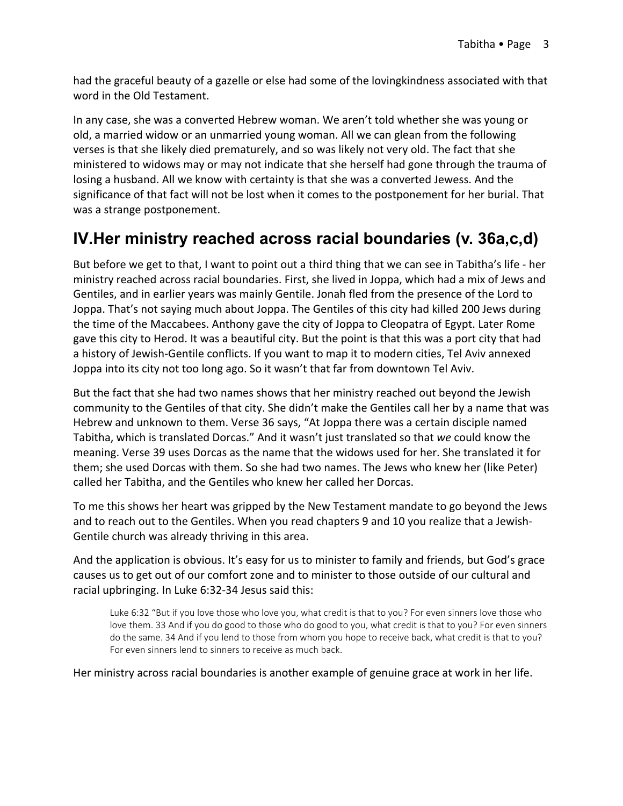had the graceful beauty of a gazelle or else had some of the lovingkindness associated with that word in the Old Testament.

In any case, she was a converted Hebrew woman. We aren't told whether she was young or old, a married widow or an unmarried young woman. All we can glean from the following verses is that she likely died prematurely, and so was likely not very old. The fact that she ministered to widows may or may not indicate that she herself had gone through the trauma of losing a husband. All we know with certainty is that she was a converted Jewess. And the significance of that fact will not be lost when it comes to the postponement for her burial. That was a strange postponement.

## **IV.Her ministry reached across racial boundaries (v. 36a,c,d)**

But before we get to that, I want to point out a third thing that we can see in Tabitha's life - her ministry reached across racial boundaries. First, she lived in Joppa, which had a mix of Jews and Gentiles, and in earlier years was mainly Gentile. Jonah fled from the presence of the Lord to Joppa. That's not saying much about Joppa. The Gentiles of this city had killed 200 Jews during the time of the Maccabees. Anthony gave the city of Joppa to Cleopatra of Egypt. Later Rome gave this city to Herod. It was a beautiful city. But the point is that this was a port city that had a history of Jewish-Gentile conflicts. If you want to map it to modern cities, Tel Aviv annexed Joppa into its city not too long ago. So it wasn't that far from downtown Tel Aviv.

But the fact that she had two names shows that her ministry reached out beyond the Jewish community to the Gentiles of that city. She didn't make the Gentiles call her by a name that was Hebrew and unknown to them. Verse 36 says, "At Joppa there was a certain disciple named Tabitha, which is translated Dorcas." And it wasn't just translated so that *we* could know the meaning. Verse 39 uses Dorcas as the name that the widows used for her. She translated it for them; she used Dorcas with them. So she had two names. The Jews who knew her (like Peter) called her Tabitha, and the Gentiles who knew her called her Dorcas.

To me this shows her heart was gripped by the New Testament mandate to go beyond the Jews and to reach out to the Gentiles. When you read chapters 9 and 10 you realize that a Jewish-Gentile church was already thriving in this area.

And the application is obvious. It's easy for us to minister to family and friends, but God's grace causes us to get out of our comfort zone and to minister to those outside of our cultural and racial upbringing. In Luke 6:32-34 Jesus said this:

Luke 6:32 "But if you love those who love you, what credit is that to you? For even sinners love those who love them. 33 And if you do good to those who do good to you, what credit is that to you? For even sinners do the same. 34 And if you lend to those from whom you hope to receive back, what credit is that to you? For even sinners lend to sinners to receive as much back.

Her ministry across racial boundaries is another example of genuine grace at work in her life.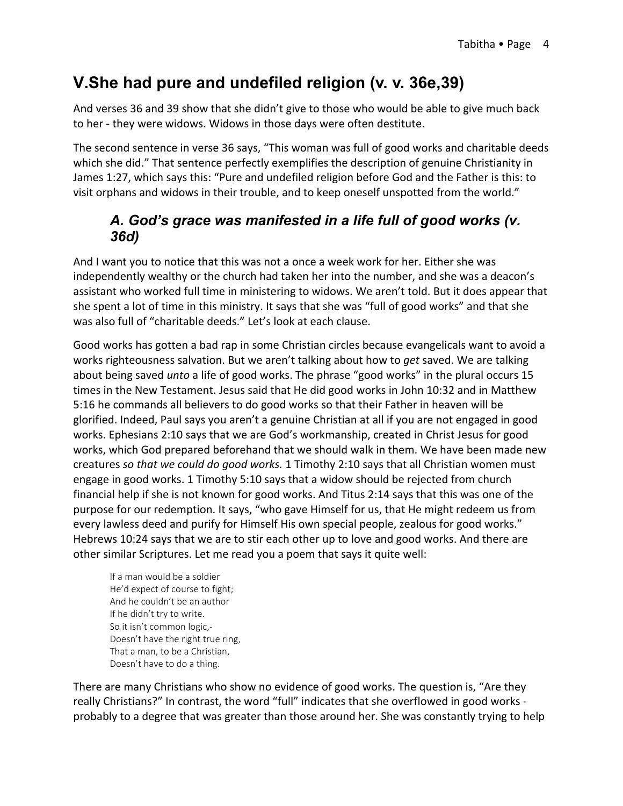## **V.She had pure and undefiled religion (v. v. 36e,39)**

And verses 36 and 39 show that she didn't give to those who would be able to give much back to her - they were widows. Widows in those days were often destitute.

The second sentence in verse 36 says, "This woman was full of good works and charitable deeds which she did." That sentence perfectly exemplifies the description of genuine Christianity in James 1:27, which says this: "Pure and undefiled religion before God and the Father is this: to visit orphans and widows in their trouble, and to keep oneself unspotted from the world."

#### *A. God's grace was manifested in a life full of good works (v. 36d)*

And I want you to notice that this was not a once a week work for her. Either she was independently wealthy or the church had taken her into the number, and she was a deacon's assistant who worked full time in ministering to widows. We aren't told. But it does appear that she spent a lot of time in this ministry. It says that she was "full of good works" and that she was also full of "charitable deeds." Let's look at each clause.

Good works has gotten a bad rap in some Christian circles because evangelicals want to avoid a works righteousness salvation. But we aren't talking about how to *get* saved. We are talking about being saved *unto* a life of good works. The phrase "good works" in the plural occurs 15 times in the New Testament. Jesus said that He did good works in John 10:32 and in Matthew 5:16 he commands all believers to do good works so that their Father in heaven will be glorified. Indeed, Paul says you aren't a genuine Christian at all if you are not engaged in good works. Ephesians 2:10 says that we are God's workmanship, created in Christ Jesus for good works, which God prepared beforehand that we should walk in them. We have been made new creatures *so that we could do good works.* 1 Timothy 2:10 says that all Christian women must engage in good works. 1 Timothy 5:10 says that a widow should be rejected from church financial help if she is not known for good works. And Titus 2:14 says that this was one of the purpose for our redemption. It says, "who gave Himself for us, that He might redeem us from every lawless deed and purify for Himself His own special people, zealous for good works." Hebrews 10:24 says that we are to stir each other up to love and good works. And there are other similar Scriptures. Let me read you a poem that says it quite well:

If a man would be a soldier He'd expect of course to fight; And he couldn't be an author If he didn't try to write. So it isn't common logic,- Doesn't have the right true ring, That a man, to be a Christian, Doesn't have to do a thing.

There are many Christians who show no evidence of good works. The question is, "Are they really Christians?" In contrast, the word "full" indicates that she overflowed in good works probably to a degree that was greater than those around her. She was constantly trying to help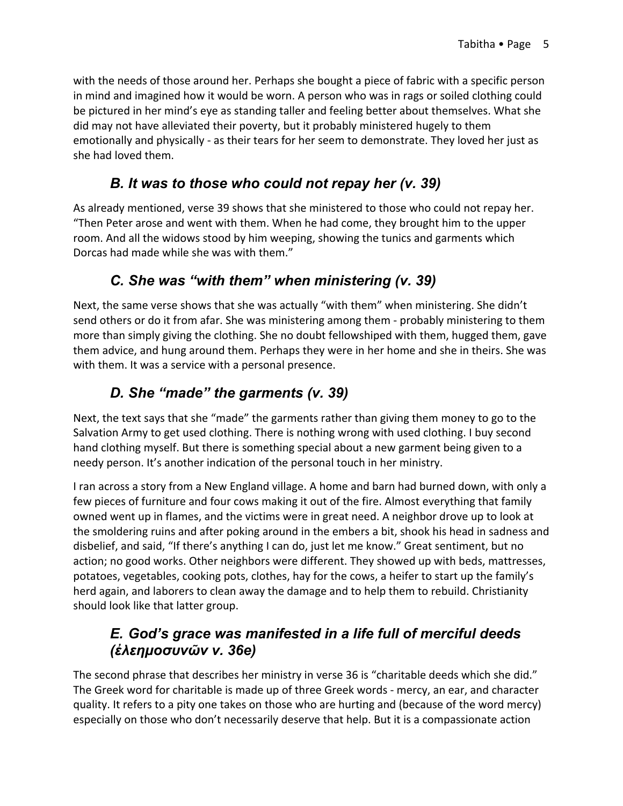with the needs of those around her. Perhaps she bought a piece of fabric with a specific person in mind and imagined how it would be worn. A person who was in rags or soiled clothing could be pictured in her mind's eye as standing taller and feeling better about themselves. What she did may not have alleviated their poverty, but it probably ministered hugely to them emotionally and physically - as their tears for her seem to demonstrate. They loved her just as she had loved them.

#### *B. It was to those who could not repay her (v. 39)*

As already mentioned, verse 39 shows that she ministered to those who could not repay her. "Then Peter arose and went with them. When he had come, they brought him to the upper room. And all the widows stood by him weeping, showing the tunics and garments which Dorcas had made while she was with them."

### *C. She was "with them" when ministering (v. 39)*

Next, the same verse shows that she was actually "with them" when ministering. She didn't send others or do it from afar. She was ministering among them - probably ministering to them more than simply giving the clothing. She no doubt fellowshiped with them, hugged them, gave them advice, and hung around them. Perhaps they were in her home and she in theirs. She was with them. It was a service with a personal presence.

### *D. She "made" the garments (v. 39)*

Next, the text says that she "made" the garments rather than giving them money to go to the Salvation Army to get used clothing. There is nothing wrong with used clothing. I buy second hand clothing myself. But there is something special about a new garment being given to a needy person. It's another indication of the personal touch in her ministry.

I ran across a story from a New England village. A home and barn had burned down, with only a few pieces of furniture and four cows making it out of the fire. Almost everything that family owned went up in flames, and the victims were in great need. A neighbor drove up to look at the smoldering ruins and after poking around in the embers a bit, shook his head in sadness and disbelief, and said, "If there's anything I can do, just let me know." Great sentiment, but no action; no good works. Other neighbors were different. They showed up with beds, mattresses, potatoes, vegetables, cooking pots, clothes, hay for the cows, a heifer to start up the family's herd again, and laborers to clean away the damage and to help them to rebuild. Christianity should look like that latter group.

#### *E. God's grace was manifested in a life full of merciful deeds (ἐλεημοσυνῶν v. 36e)*

The second phrase that describes her ministry in verse 36 is "charitable deeds which she did." The Greek word for charitable is made up of three Greek words - mercy, an ear, and character quality. It refers to a pity one takes on those who are hurting and (because of the word mercy) especially on those who don't necessarily deserve that help. But it is a compassionate action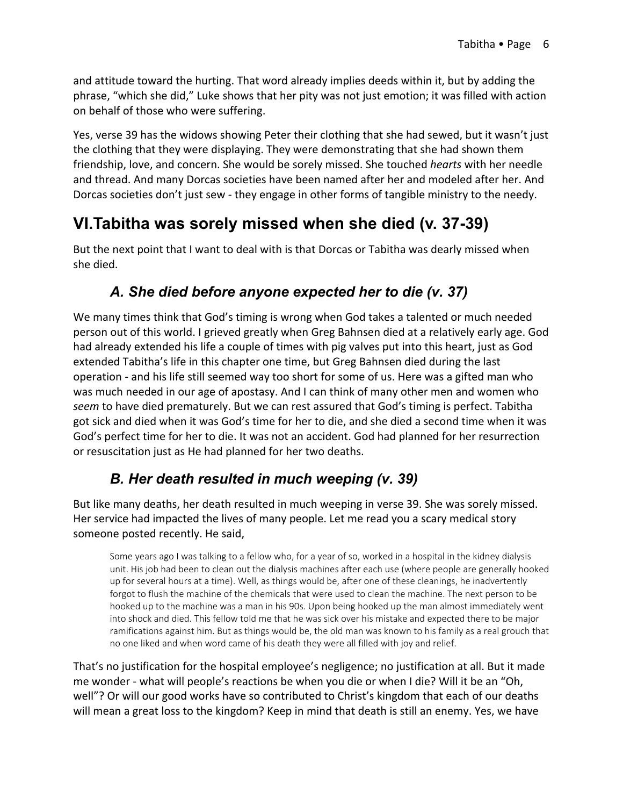and attitude toward the hurting. That word already implies deeds within it, but by adding the phrase, "which she did," Luke shows that her pity was not just emotion; it was filled with action on behalf of those who were suffering.

Yes, verse 39 has the widows showing Peter their clothing that she had sewed, but it wasn't just the clothing that they were displaying. They were demonstrating that she had shown them friendship, love, and concern. She would be sorely missed. She touched *hearts* with her needle and thread. And many Dorcas societies have been named after her and modeled after her. And Dorcas societies don't just sew - they engage in other forms of tangible ministry to the needy.

## **VI.Tabitha was sorely missed when she died (v. 37-39)**

But the next point that I want to deal with is that Dorcas or Tabitha was dearly missed when she died.

#### *A. She died before anyone expected her to die (v. 37)*

We many times think that God's timing is wrong when God takes a talented or much needed person out of this world. I grieved greatly when Greg Bahnsen died at a relatively early age. God had already extended his life a couple of times with pig valves put into this heart, just as God extended Tabitha's life in this chapter one time, but Greg Bahnsen died during the last operation - and his life still seemed way too short for some of us. Here was a gifted man who was much needed in our age of apostasy. And I can think of many other men and women who *seem* to have died prematurely. But we can rest assured that God's timing is perfect. Tabitha got sick and died when it was God's time for her to die, and she died a second time when it was God's perfect time for her to die. It was not an accident. God had planned for her resurrection or resuscitation just as He had planned for her two deaths.

### *B. Her death resulted in much weeping (v. 39)*

But like many deaths, her death resulted in much weeping in verse 39. She was sorely missed. Her service had impacted the lives of many people. Let me read you a scary medical story someone posted recently. He said,

Some years ago I was talking to a fellow who, for a year of so, worked in a hospital in the kidney dialysis unit. His job had been to clean out the dialysis machines after each use (where people are generally hooked up for several hours at a time). Well, as things would be, after one of these cleanings, he inadvertently forgot to flush the machine of the chemicals that were used to clean the machine. The next person to be hooked up to the machine was a man in his 90s. Upon being hooked up the man almost immediately went into shock and died. This fellow told me that he was sick over his mistake and expected there to be major ramifications against him. But as things would be, the old man was known to his family as a real grouch that no one liked and when word came of his death they were all filled with joy and relief.

That's no justification for the hospital employee's negligence; no justification at all. But it made me wonder - what will people's reactions be when you die or when I die? Will it be an "Oh, well"? Or will our good works have so contributed to Christ's kingdom that each of our deaths will mean a great loss to the kingdom? Keep in mind that death is still an enemy. Yes, we have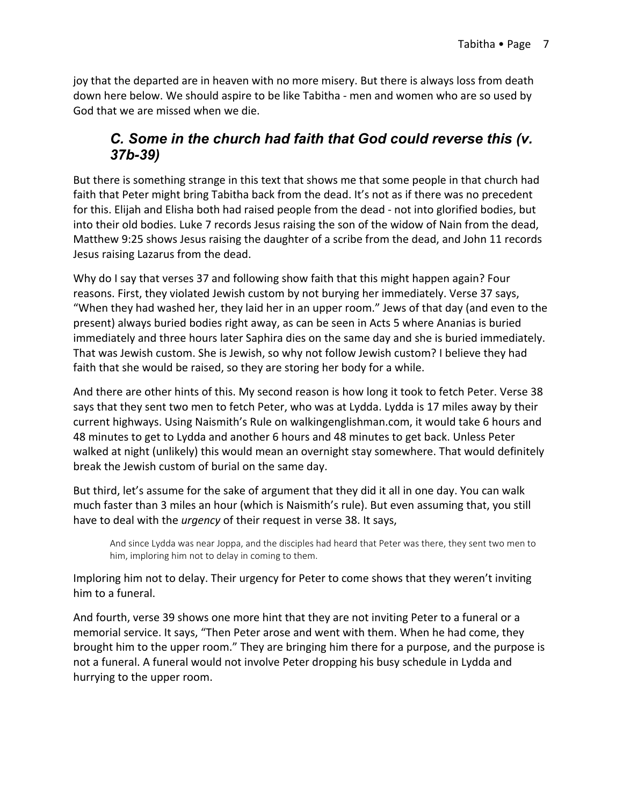joy that the departed are in heaven with no more misery. But there is always loss from death down here below. We should aspire to be like Tabitha - men and women who are so used by God that we are missed when we die.

#### *C. Some in the church had faith that God could reverse this (v. 37b-39)*

But there is something strange in this text that shows me that some people in that church had faith that Peter might bring Tabitha back from the dead. It's not as if there was no precedent for this. Elijah and Elisha both had raised people from the dead - not into glorified bodies, but into their old bodies. Luke 7 records Jesus raising the son of the widow of Nain from the dead, Matthew 9:25 shows Jesus raising the daughter of a scribe from the dead, and John 11 records Jesus raising Lazarus from the dead.

Why do I say that verses 37 and following show faith that this might happen again? Four reasons. First, they violated Jewish custom by not burying her immediately. Verse 37 says, "When they had washed her, they laid her in an upper room." Jews of that day (and even to the present) always buried bodies right away, as can be seen in Acts 5 where Ananias is buried immediately and three hours later Saphira dies on the same day and she is buried immediately. That was Jewish custom. She is Jewish, so why not follow Jewish custom? I believe they had faith that she would be raised, so they are storing her body for a while.

And there are other hints of this. My second reason is how long it took to fetch Peter. Verse 38 says that they sent two men to fetch Peter, who was at Lydda. Lydda is 17 miles away by their current highways. Using Naismith's Rule on walkingenglishman.com, it would take 6 hours and 48 minutes to get to Lydda and another 6 hours and 48 minutes to get back. Unless Peter walked at night (unlikely) this would mean an overnight stay somewhere. That would definitely break the Jewish custom of burial on the same day.

But third, let's assume for the sake of argument that they did it all in one day. You can walk much faster than 3 miles an hour (which is Naismith's rule). But even assuming that, you still have to deal with the *urgency* of their request in verse 38. It says,

And since Lydda was near Joppa, and the disciples had heard that Peter was there, they sent two men to him, imploring him not to delay in coming to them.

Imploring him not to delay. Their urgency for Peter to come shows that they weren't inviting him to a funeral.

And fourth, verse 39 shows one more hint that they are not inviting Peter to a funeral or a memorial service. It says, "Then Peter arose and went with them. When he had come, they brought him to the upper room." They are bringing him there for a purpose, and the purpose is not a funeral. A funeral would not involve Peter dropping his busy schedule in Lydda and hurrying to the upper room.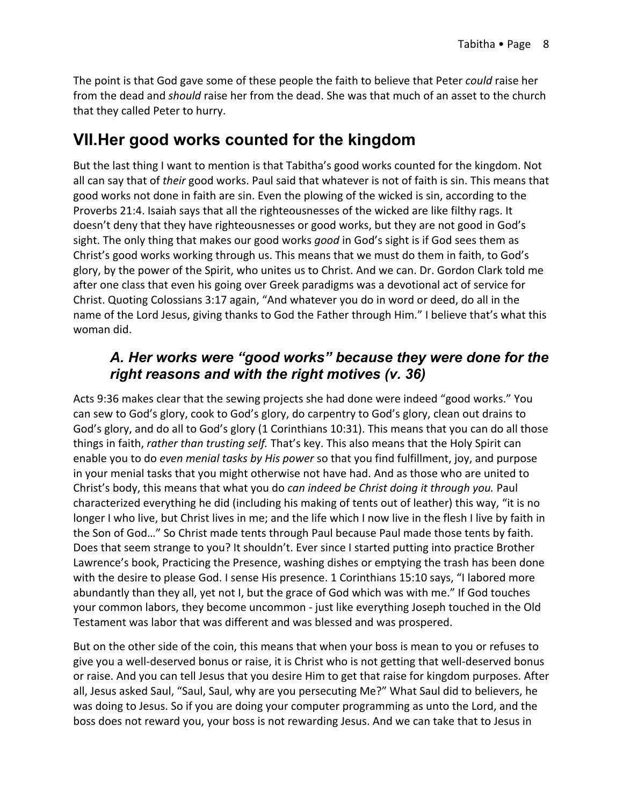The point is that God gave some of these people the faith to believe that Peter *could* raise her from the dead and *should* raise her from the dead. She was that much of an asset to the church that they called Peter to hurry.

## **VII.Her good works counted for the kingdom**

But the last thing I want to mention is that Tabitha's good works counted for the kingdom. Not all can say that of *their* good works. Paul said that whatever is not of faith is sin. This means that good works not done in faith are sin. Even the plowing of the wicked is sin, according to the Proverbs 21:4. Isaiah says that all the righteousnesses of the wicked are like filthy rags. It doesn't deny that they have righteousnesses or good works, but they are not good in God's sight. The only thing that makes our good works *good* in God's sight is if God sees them as Christ's good works working through us. This means that we must do them in faith, to God's glory, by the power of the Spirit, who unites us to Christ. And we can. Dr. Gordon Clark told me after one class that even his going over Greek paradigms was a devotional act of service for Christ. Quoting Colossians 3:17 again, "And whatever you do in word or deed, do all in the name of the Lord Jesus, giving thanks to God the Father through Him." I believe that's what this woman did.

#### *A. Her works were "good works" because they were done for the right reasons and with the right motives (v. 36)*

Acts 9:36 makes clear that the sewing projects she had done were indeed "good works." You can sew to God's glory, cook to God's glory, do carpentry to God's glory, clean out drains to God's glory, and do all to God's glory (1 Corinthians 10:31). This means that you can do all those things in faith, *rather than trusting self.* That's key. This also means that the Holy Spirit can enable you to do *even menial tasks by His power* so that you find fulfillment, joy, and purpose in your menial tasks that you might otherwise not have had. And as those who are united to Christ's body, this means that what you do *can indeed be Christ doing it through you.* Paul characterized everything he did (including his making of tents out of leather) this way, "it is no longer I who live, but Christ lives in me; and the life which I now live in the flesh I live by faith in the Son of God…" So Christ made tents through Paul because Paul made those tents by faith. Does that seem strange to you? It shouldn't. Ever since I started putting into practice Brother Lawrence's book, Practicing the Presence, washing dishes or emptying the trash has been done with the desire to please God. I sense His presence. 1 Corinthians 15:10 says, "I labored more abundantly than they all, yet not I, but the grace of God which was with me." If God touches your common labors, they become uncommon - just like everything Joseph touched in the Old Testament was labor that was different and was blessed and was prospered.

But on the other side of the coin, this means that when your boss is mean to you or refuses to give you a well-deserved bonus or raise, it is Christ who is not getting that well-deserved bonus or raise. And you can tell Jesus that you desire Him to get that raise for kingdom purposes. After all, Jesus asked Saul, "Saul, Saul, why are you persecuting Me?" What Saul did to believers, he was doing to Jesus. So if you are doing your computer programming as unto the Lord, and the boss does not reward you, your boss is not rewarding Jesus. And we can take that to Jesus in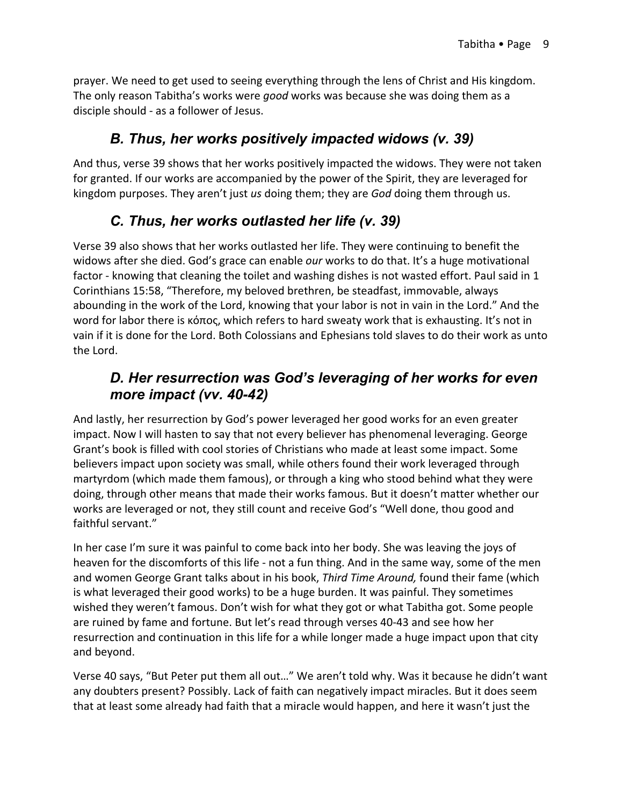prayer. We need to get used to seeing everything through the lens of Christ and His kingdom. The only reason Tabitha's works were *good* works was because she was doing them as a disciple should - as a follower of Jesus.

### *B. Thus, her works positively impacted widows (v. 39)*

And thus, verse 39 shows that her works positively impacted the widows. They were not taken for granted. If our works are accompanied by the power of the Spirit, they are leveraged for kingdom purposes. They aren't just *us* doing them; they are *God* doing them through us.

### *C. Thus, her works outlasted her life (v. 39)*

Verse 39 also shows that her works outlasted her life. They were continuing to benefit the widows after she died. God's grace can enable *our* works to do that. It's a huge motivational factor - knowing that cleaning the toilet and washing dishes is not wasted effort. Paul said in 1 Corinthians 15:58, "Therefore, my beloved brethren, be steadfast, immovable, always abounding in the work of the Lord, knowing that your labor is not in vain in the Lord." And the word for labor there is κόπος, which refers to hard sweaty work that is exhausting. It's not in vain if it is done for the Lord. Both Colossians and Ephesians told slaves to do their work as unto the Lord.

#### *D. Her resurrection was God's leveraging of her works for even more impact (vv. 40-42)*

And lastly, her resurrection by God's power leveraged her good works for an even greater impact. Now I will hasten to say that not every believer has phenomenal leveraging. George Grant's book is filled with cool stories of Christians who made at least some impact. Some believers impact upon society was small, while others found their work leveraged through martyrdom (which made them famous), or through a king who stood behind what they were doing, through other means that made their works famous. But it doesn't matter whether our works are leveraged or not, they still count and receive God's "Well done, thou good and faithful servant."

In her case I'm sure it was painful to come back into her body. She was leaving the joys of heaven for the discomforts of this life - not a fun thing. And in the same way, some of the men and women George Grant talks about in his book, *Third Time Around,* found their fame (which is what leveraged their good works) to be a huge burden. It was painful. They sometimes wished they weren't famous. Don't wish for what they got or what Tabitha got. Some people are ruined by fame and fortune. But let's read through verses 40-43 and see how her resurrection and continuation in this life for a while longer made a huge impact upon that city and beyond.

Verse 40 says, "But Peter put them all out…" We aren't told why. Was it because he didn't want any doubters present? Possibly. Lack of faith can negatively impact miracles. But it does seem that at least some already had faith that a miracle would happen, and here it wasn't just the